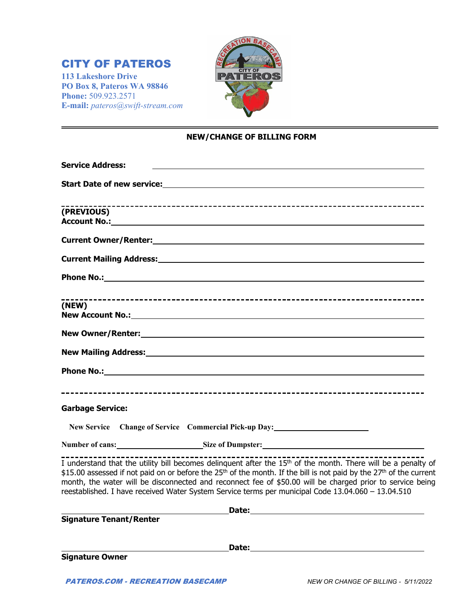# CITY OF PATEROS

**113 Lakeshore Drive PO Box 8, Pateros WA 98846 Phone:** 509.923.2571 **E-mail:** *pateros@swift-stream.com*



## **NEW/CHANGE OF BILLING FORM**

| <b>Service Address:</b>                                                                                                                                                                                                                                                                                                                                                                                                                                                                     |
|---------------------------------------------------------------------------------------------------------------------------------------------------------------------------------------------------------------------------------------------------------------------------------------------------------------------------------------------------------------------------------------------------------------------------------------------------------------------------------------------|
|                                                                                                                                                                                                                                                                                                                                                                                                                                                                                             |
| (PREVIOUS)                                                                                                                                                                                                                                                                                                                                                                                                                                                                                  |
|                                                                                                                                                                                                                                                                                                                                                                                                                                                                                             |
|                                                                                                                                                                                                                                                                                                                                                                                                                                                                                             |
|                                                                                                                                                                                                                                                                                                                                                                                                                                                                                             |
| (NEW)                                                                                                                                                                                                                                                                                                                                                                                                                                                                                       |
|                                                                                                                                                                                                                                                                                                                                                                                                                                                                                             |
| New Mailing Address: Management of the Mailing Address:                                                                                                                                                                                                                                                                                                                                                                                                                                     |
|                                                                                                                                                                                                                                                                                                                                                                                                                                                                                             |
| <b>Garbage Service:</b>                                                                                                                                                                                                                                                                                                                                                                                                                                                                     |
| New Service Change of Service Commercial Pick-up Day:                                                                                                                                                                                                                                                                                                                                                                                                                                       |
| Number of cans: Size of Dumpster: Size of Dumpster Management of cansider and the Size of Dumpster:                                                                                                                                                                                                                                                                                                                                                                                         |
| I understand that the utility bill becomes delinguent after the 15 <sup>th</sup> of the month. There will be a penalty of<br>\$15.00 assessed if not paid on or before the 25 <sup>th</sup> of the month. If the bill is not paid by the 27 <sup>th</sup> of the current<br>month, the water will be disconnected and reconnect fee of \$50.00 will be charged prior to service being<br>reestablished. I have received Water System Service terms per municipal Code 13.04.060 - 13.04.510 |
| Date: the contract of the contract of the contract of the contract of the contract of the contract of the contract of the contract of the contract of the contract of the contract of the contract of the contract of the cont                                                                                                                                                                                                                                                              |
| <b>Signature Tenant/Renter</b>                                                                                                                                                                                                                                                                                                                                                                                                                                                              |
|                                                                                                                                                                                                                                                                                                                                                                                                                                                                                             |
| <b>Signature Owner</b>                                                                                                                                                                                                                                                                                                                                                                                                                                                                      |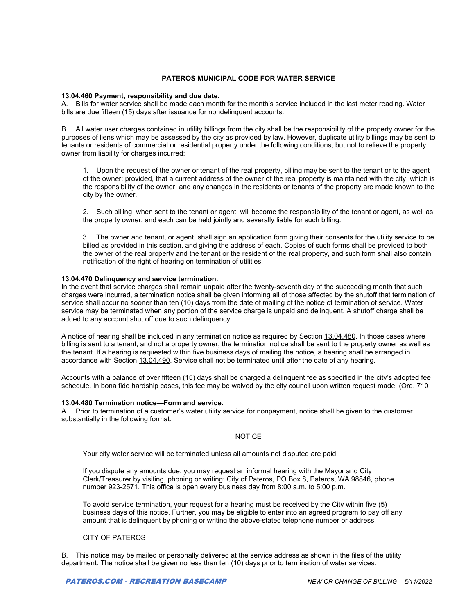## **PATEROS MUNICIPAL CODE FOR WATER SERVICE**

#### **13.04.460 Payment, responsibility and due date.**

A. Bills for water service shall be made each month for the month's service included in the last meter reading. Water bills are due fifteen (15) days after issuance for nondelinquent accounts.

B. All water user charges contained in utility billings from the city shall be the responsibility of the property owner for the purposes of liens which may be assessed by the city as provided by law. However, duplicate utility billings may be sent to tenants or residents of commercial or residential property under the following conditions, but not to relieve the property owner from liability for charges incurred:

1. Upon the request of the owner or tenant of the real property, billing may be sent to the tenant or to the agent of the owner; provided, that a current address of the owner of the real property is maintained with the city, which is the responsibility of the owner, and any changes in the residents or tenants of the property are made known to the city by the owner.

2. Such billing, when sent to the tenant or agent, will become the responsibility of the tenant or agent, as well as the property owner, and each can be held jointly and severally liable for such billing.

3. The owner and tenant, or agent, shall sign an application form giving their consents for the utility service to be billed as provided in this section, and giving the address of each. Copies of such forms shall be provided to both the owner of the real property and the tenant or the resident of the real property, and such form shall also contain notification of the right of hearing on termination of utilities.

### **13.04.470 Delinquency and service termination.**

In the event that service charges shall remain unpaid after the twenty-seventh day of the succeeding month that such charges were incurred, a termination notice shall be given informing all of those affected by the shutoff that termination of service shall occur no sooner than ten (10) days from the date of mailing of the notice of termination of service. Water service may be terminated when any portion of the service charge is unpaid and delinquent. A shutoff charge shall be added to any account shut off due to such delinquency.

A notice of hearing shall be included in any termination notice as required by Section 13.04.480. In those cases where billing is sent to a tenant, and not a property owner, the termination notice shall be sent to the property owner as well as the tenant. If a hearing is requested within five business days of mailing the notice, a hearing shall be arranged in accordance with Section 13.04.490. Service shall not be terminated until after the date of any hearing.

Accounts with a balance of over fifteen (15) days shall be charged a delinquent fee as specified in the city's adopted fee schedule. In bona fide hardship cases, this fee may be waived by the city council upon written request made. (Ord. 710

#### **13.04.480 Termination notice—Form and service.**

A. Prior to termination of a customer's water utility service for nonpayment, notice shall be given to the customer substantially in the following format:

## **NOTICE**

Your city water service will be terminated unless all amounts not disputed are paid.

If you dispute any amounts due, you may request an informal hearing with the Mayor and City Clerk/Treasurer by visiting, phoning or writing: City of Pateros, PO Box 8, Pateros, WA 98846, phone number 923-2571. This office is open every business day from 8:00 a.m. to 5:00 p.m.

To avoid service termination, your request for a hearing must be received by the City within five (5) business days of this notice. Further, you may be eligible to enter into an agreed program to pay off any amount that is delinquent by phoning or writing the above-stated telephone number or address.

## CITY OF PATEROS

B. This notice may be mailed or personally delivered at the service address as shown in the files of the utility department. The notice shall be given no less than ten (10) days prior to termination of water services.